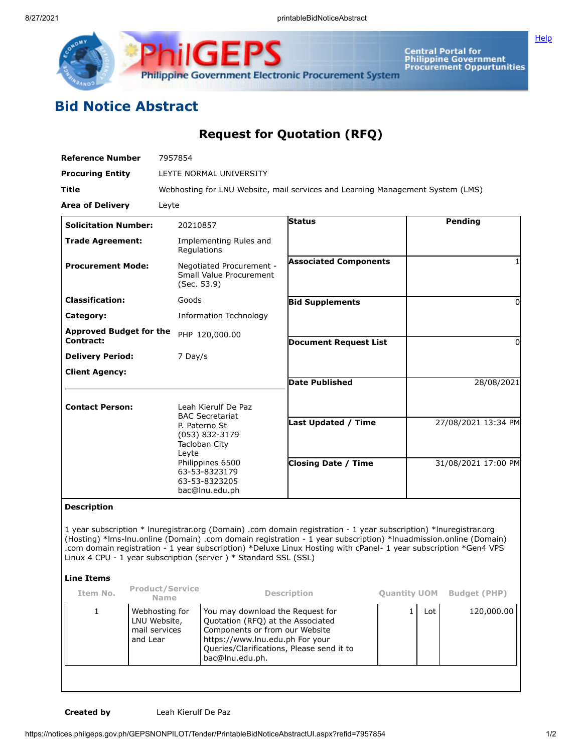



Central Portal for<br>Philippine Government<br>Procurement Oppurtunities

## **Bid Notice Abstract**

## **Request for Quotation (RFQ)**

| <b>Reference Number</b>                     | 7957854                                                                                                                                                                            |                              |                     |  |  |  |  |
|---------------------------------------------|------------------------------------------------------------------------------------------------------------------------------------------------------------------------------------|------------------------------|---------------------|--|--|--|--|
| <b>Procuring Entity</b>                     | LEYTE NORMAL UNIVERSITY                                                                                                                                                            |                              |                     |  |  |  |  |
| Title                                       | Webhosting for LNU Website, mail services and Learning Management System (LMS)                                                                                                     |                              |                     |  |  |  |  |
| <b>Area of Delivery</b>                     | Leyte                                                                                                                                                                              |                              |                     |  |  |  |  |
| <b>Solicitation Number:</b>                 | 20210857                                                                                                                                                                           | <b>Status</b>                | Pending             |  |  |  |  |
| <b>Trade Agreement:</b>                     | Implementing Rules and<br>Regulations                                                                                                                                              |                              |                     |  |  |  |  |
| <b>Procurement Mode:</b>                    | Negotiated Procurement -<br>Small Value Procurement<br>(Sec. 53.9)                                                                                                                 | <b>Associated Components</b> |                     |  |  |  |  |
| <b>Classification:</b>                      | Goods                                                                                                                                                                              | <b>Bid Supplements</b>       | 0                   |  |  |  |  |
| Category:                                   | <b>Information Technology</b>                                                                                                                                                      |                              |                     |  |  |  |  |
| <b>Approved Budget for the</b><br>Contract: | PHP 120,000.00                                                                                                                                                                     | <b>Document Request List</b> | 0                   |  |  |  |  |
| <b>Delivery Period:</b>                     | 7 Day/s                                                                                                                                                                            |                              |                     |  |  |  |  |
| <b>Client Agency:</b>                       |                                                                                                                                                                                    | <b>Date Published</b>        | 28/08/2021          |  |  |  |  |
| <b>Contact Person:</b>                      | Leah Kierulf De Paz<br><b>BAC Secretariat</b><br>P. Paterno St<br>(053) 832-3179<br>Tacloban City<br>Leyte<br>Philippines 6500<br>63-53-8323179<br>63-53-8323205<br>bac@lnu.edu.ph |                              |                     |  |  |  |  |
|                                             |                                                                                                                                                                                    | <b>Last Updated / Time</b>   | 27/08/2021 13:34 PM |  |  |  |  |
|                                             |                                                                                                                                                                                    | <b>Closing Date / Time</b>   | 31/08/2021 17:00 PM |  |  |  |  |

## **Description**

1 year subscription \* lnuregistrar.org (Domain) .com domain registration - 1 year subscription) \*lnuregistrar.org (Hosting) \*lms-lnu.online (Domain) .com domain registration - 1 year subscription) \*lnuadmission.online (Domain) .com domain registration - 1 year subscription) \*Deluxe Linux Hosting with cPanel- 1 year subscription \*Gen4 VPS Linux 4 CPU - 1 year subscription (server ) \* Standard SSL (SSL)

## **Line Items**

| Item No. | <b>Product/Service</b><br><b>Name</b>                       | <b>Description</b>                                                                                                                                                                                         | <b>Quantity UOM</b> |     | <b>Budget (PHP)</b> |
|----------|-------------------------------------------------------------|------------------------------------------------------------------------------------------------------------------------------------------------------------------------------------------------------------|---------------------|-----|---------------------|
|          | Webhosting for<br>LNU Website,<br>mail services<br>and Lear | You may download the Request for<br>Quotation (RFQ) at the Associated<br>Components or from our Website<br>https://www.lnu.edu.ph For your<br>Queries/Clarifications, Please send it to<br>bac@lnu.edu.ph. |                     | Lot | 120,000.00          |
|          |                                                             |                                                                                                                                                                                                            |                     |     |                     |